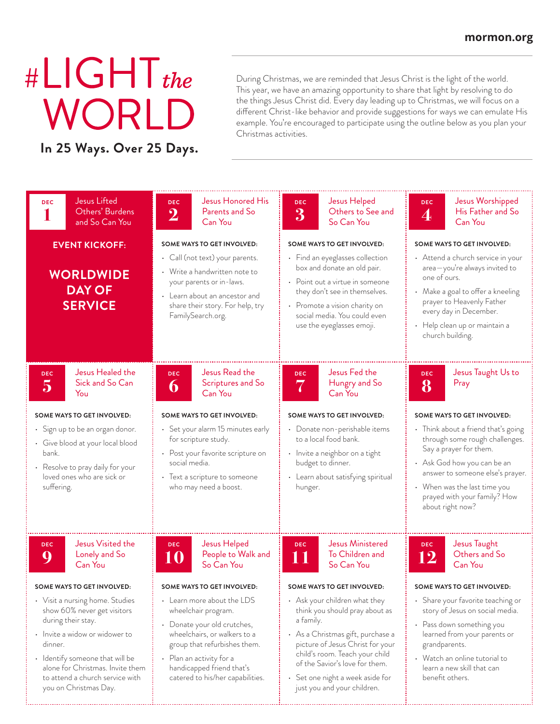## # $L$ IGHT<sub>the</sub> WORL

**In 25 Ways. Over 25 Days.**

During Christmas, we are reminded that Jesus Christ is the light of the world. This year, we have an amazing opportunity to share that light by resolving to do the things Jesus Christ did. Every day leading up to Christmas, we will focus on a different Christ-like behavior and provide suggestions for ways we can emulate His example. You're encouraged to participate using the outline below as you plan your Christmas activities.

| <b>Jesus Lifted</b><br><b>DEC</b><br>Others' Burdens<br>and So Can You                                                                                                                                                                                               | Jesus Honored His<br><b>DEC</b><br>Parents and So<br>$\bf{2}$<br>Can You                                                                                                                                                                            | Jesus Helped<br><b>DEC</b><br>Others to See and<br>$\bf{3}$<br>So Can You                                                                                                                                                                                                                    | Jesus Worshipped<br><b>DEC</b><br>His Father and So<br>$\bm{4}$<br>Can You                                                                                                                                                                             |
|----------------------------------------------------------------------------------------------------------------------------------------------------------------------------------------------------------------------------------------------------------------------|-----------------------------------------------------------------------------------------------------------------------------------------------------------------------------------------------------------------------------------------------------|----------------------------------------------------------------------------------------------------------------------------------------------------------------------------------------------------------------------------------------------------------------------------------------------|--------------------------------------------------------------------------------------------------------------------------------------------------------------------------------------------------------------------------------------------------------|
| <b>EVENT KICKOFF:</b>                                                                                                                                                                                                                                                | SOME WAYS TO GET INVOLVED:                                                                                                                                                                                                                          | SOME WAYS TO GET INVOLVED:                                                                                                                                                                                                                                                                   | <b>SOME WAYS TO GET INVOLVED:</b>                                                                                                                                                                                                                      |
| <b>WORLDWIDE</b><br><b>DAY OF</b><br><b>SERVICE</b>                                                                                                                                                                                                                  | • Call (not text) your parents.<br>• Write a handwritten note to<br>your parents or in-laws.<br>• Learn about an ancestor and<br>share their story. For help, try<br>FamilySearch.org.                                                              | • Find an eyeglasses collection<br>box and donate an old pair.<br>• Point out a virtue in someone<br>they don't see in themselves.<br>• Promote a vision charity on<br>social media. You could even<br>use the eyeglasses emoji.                                                             | • Attend a church service in your<br>area-you're always invited to<br>one of ours.<br>• Make a goal to offer a kneeling<br>prayer to Heavenly Father<br>every day in December.<br>• Help clean up or maintain a<br>church building.                    |
| Jesus Healed the<br><b>DEC</b><br>Sick and So Can<br>$\overline{5}$<br>You                                                                                                                                                                                           | Jesus Read the<br><b>DEC</b><br>Scriptures and So<br>6<br>Can You                                                                                                                                                                                   | Jesus Fed the<br><b>DEC</b><br>Hungry and So<br>7<br>Can You                                                                                                                                                                                                                                 | Jesus Taught Us to<br><b>DEC</b><br>Pray<br>8                                                                                                                                                                                                          |
| SOME WAYS TO GET INVOLVED:                                                                                                                                                                                                                                           | SOME WAYS TO GET INVOLVED:                                                                                                                                                                                                                          | SOME WAYS TO GET INVOLVED:                                                                                                                                                                                                                                                                   | SOME WAYS TO GET INVOLVED:                                                                                                                                                                                                                             |
| • Sign up to be an organ donor.<br>• Give blood at your local blood<br>bank.<br>• Resolve to pray daily for your<br>loved ones who are sick or<br>suffering.                                                                                                         | · Set your alarm 15 minutes early<br>for scripture study.<br>• Post your favorite scripture on<br>social media.<br>• Text a scripture to someone<br>who may need a boost.                                                                           | · Donate non-perishable items<br>to a local food bank.<br>• Invite a neighbor on a tight<br>budget to dinner.<br>• Learn about satisfying spiritual<br>hunger.                                                                                                                               | • Think about a friend that's going<br>through some rough challenges.<br>Say a prayer for them.<br>• Ask God how you can be an<br>answer to someone else's prayer.<br>• When was the last time you<br>prayed with your family? How<br>about right now? |
| Jesus Visited the<br><b>DEC</b><br>Lonely and So<br>Q<br>Can You                                                                                                                                                                                                     | Jesus Helped<br><b>DEC</b><br>People to Walk and<br>10<br>So Can You                                                                                                                                                                                | <b>Jesus Ministered</b><br><b>DEC</b><br>To Children and<br>11<br>So Can You                                                                                                                                                                                                                 | Jesus Taught<br><b>DEC</b><br>Others and So<br>12<br>Can You                                                                                                                                                                                           |
| SOME WAYS TO GET INVOLVED:                                                                                                                                                                                                                                           | SOME WAYS TO GET INVOLVED:                                                                                                                                                                                                                          | SOME WAYS TO GET INVOLVED:                                                                                                                                                                                                                                                                   | SOME WAYS TO GET INVOLVED:                                                                                                                                                                                                                             |
| • Visit a nursing home. Studies<br>show 60% never get visitors<br>during their stay.<br>• Invite a widow or widower to<br>dinner.<br>• Identify someone that will be<br>alone for Christmas. Invite them<br>to attend a church service with<br>you on Christmas Day. | $\cdot$ Learn more about the LDS<br>wheelchair program.<br>• Donate your old crutches,<br>wheelchairs, or walkers to a<br>group that refurbishes them.<br>• Plan an activity for a<br>handicapped friend that's<br>catered to his/her capabilities. | • Ask your children what they<br>think you should pray about as<br>a family.<br>• As a Christmas gift, purchase a<br>picture of Jesus Christ for your<br>child's room. Teach your child<br>of the Savior's love for them.<br>• Set one night a week aside for<br>just you and your children. | • Share your favorite teaching or<br>story of Jesus on social media.<br>• Pass down something you<br>learned from your parents or<br>grandparents.<br>• Watch an online tutorial to<br>learn a new skill that can<br>benefit others.                   |